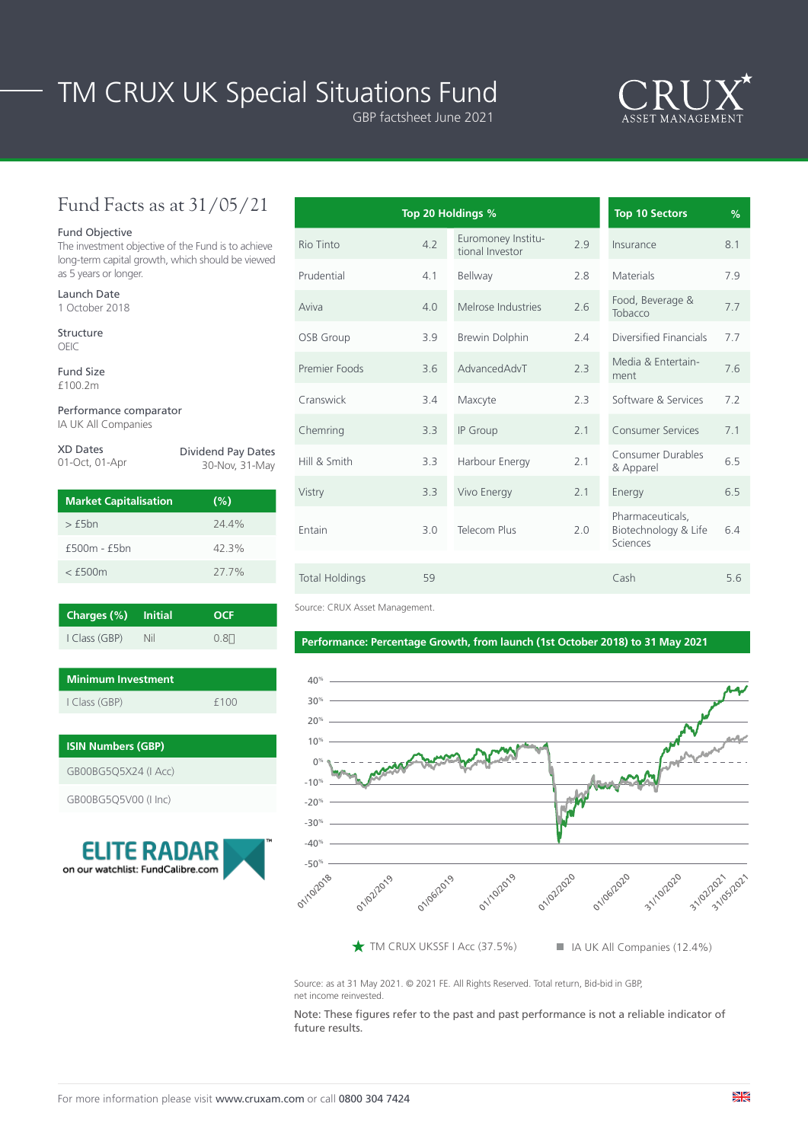# TM CRUX UK Special Situations Fund

GBP factsheet June 2021



## Fund Facts as at 31/05/21

### Fund Objective

The investment objective of the Fund is to achieve long-term capital growth, which should be viewed as 5 years or longer.

| Launch Date |                |  |  |  |
|-------------|----------------|--|--|--|
|             | 1 October 2018 |  |  |  |

Structure OEIC

Fund Size £100.2m

Performance comparator IA UK All Companies

| <b>XD Dates</b> | <b>Dividend Pay Dates</b> |
|-----------------|---------------------------|
| 01-Oct, 01-Apr  | 30-Nov, 31-May            |
|                 |                           |

| <b>Market Capitalisation</b> | (%)   |
|------------------------------|-------|
| $>$ $f5hn$                   | 744%  |
| $f500m - f5bn$               | 42.3% |
| $<$ f500 $m$                 | 27.7% |

| Charges (%) Initial |            | <b>OCF</b> |
|---------------------|------------|------------|
| I Class (GBP)       | <b>Nil</b> | $0.8+$     |

| Minimum Investment |      |  |  |  |
|--------------------|------|--|--|--|
| I Class (GBP)      | f100 |  |  |  |

| <b>ISIN Numbers (GBP)</b> |  |  |  |
|---------------------------|--|--|--|
| GB00BG5O5X24 (I Acc)      |  |  |  |
| GB00BG5Q5V00 (I Inc)      |  |  |  |



|                       |     | Top 20 Holdings %                     |     | <b>Top 10 Sectors</b>                                | %   |
|-----------------------|-----|---------------------------------------|-----|------------------------------------------------------|-----|
| Rio Tinto             | 4.2 | Euromoney Institu-<br>tional Investor | 2.9 | Insurance                                            | 8.1 |
| Prudential            | 4.1 | Bellway                               | 2.8 | <b>Materials</b>                                     | 7.9 |
| Aviva                 | 4.0 | Melrose Industries                    | 2.6 | Food, Beverage &<br>Tobacco                          | 7.7 |
| OSB Group             | 3.9 | Brewin Dolphin                        | 2.4 | Diversified Financials                               | 7.7 |
| Premier Foods         | 3.6 | AdvancedAdvT                          | 2.3 | Media & Entertain-<br>ment                           | 7.6 |
| Cranswick             | 3.4 | Maxcyte                               | 2.3 | Software & Services                                  | 7.2 |
| Chemring              | 3.3 | IP Group                              | 2.1 | <b>Consumer Services</b>                             | 7.1 |
| Hill & Smith          | 3.3 | Harbour Energy                        | 2.1 | <b>Consumer Durables</b><br>& Apparel                | 6.5 |
| Vistry                | 3.3 | Vivo Energy                           | 2.1 | Energy                                               | 6.5 |
| Entain                | 3.0 | Telecom Plus                          | 2.0 | Pharmaceuticals,<br>Biotechnology & Life<br>Sciences | 6.4 |
| <b>Total Holdings</b> | 59  |                                       |     | Cash                                                 | 5.6 |

Source: CRUX Asset Management.

#### **Performance: Percentage Growth, from launch (1st October 2018) to 31 May 2021**



Source: as at 31 May 2021. © 2021 FE. All Rights Reserved. Total return, Bid-bid in GBP, net income reinvested.

Note: These figures refer to the past and past performance is not a reliable indicator of future results.